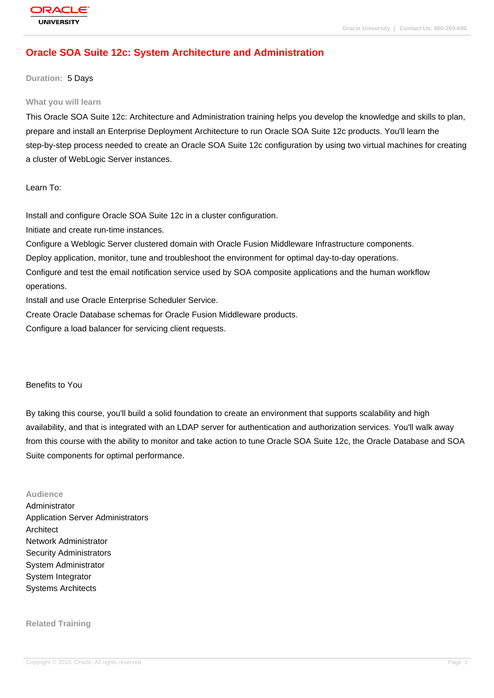# **[Oracle SOA Su](http://education.oracle.com/pls/web_prod-plq-dad/db_pages.getpage?page_id=3)ite 12c: System Architecture and Administration**

#### **Duration:** 5 Days

#### **What you will learn**

This Oracle SOA Suite 12c: Architecture and Administration training helps you develop the knowledge and skills to plan, prepare and install an Enterprise Deployment Architecture to run Oracle SOA Suite 12c products. You'll learn the step-by-step process needed to create an Oracle SOA Suite 12c configuration by using two virtual machines for creating a cluster of WebLogic Server instances.

Learn To:

Install and configure Oracle SOA Suite 12c in a cluster configuration.

Initiate and create run-time instances.

Configure a Weblogic Server clustered domain with Oracle Fusion Middleware Infrastructure components.

Deploy application, monitor, tune and troubleshoot the environment for optimal day-to-day operations.

Configure and test the email notification service used by SOA composite applications and the human workflow operations.

Install and use Oracle Enterprise Scheduler Service.

Create Oracle Database schemas for Oracle Fusion Middleware products.

Configure a load balancer for servicing client requests.

#### Benefits to You

By taking this course, you'll build a solid foundation to create an environment that supports scalability and high availability, and that is integrated with an LDAP server for authentication and authorization services. You'll walk away from this course with the ability to monitor and take action to tune Oracle SOA Suite 12c, the Oracle Database and SOA Suite components for optimal performance.

#### **Audience**

Administrator Application Server Administrators Architect Network Administrator Security Administrators System Administrator System Integrator Systems Architects

**Related Training**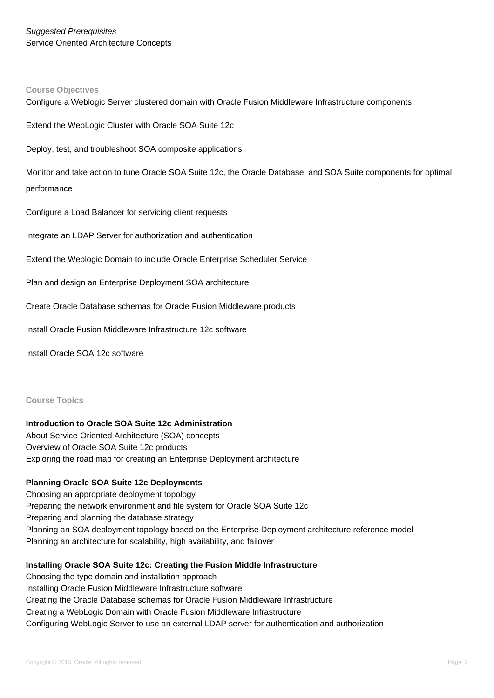#### **Course Objectives**

Configure a Weblogic Server clustered domain with Oracle Fusion Middleware Infrastructure components

Extend the WebLogic Cluster with Oracle SOA Suite 12c

Deploy, test, and troubleshoot SOA composite applications

Monitor and take action to tune Oracle SOA Suite 12c, the Oracle Database, and SOA Suite components for optimal performance

Configure a Load Balancer for servicing client requests

Integrate an LDAP Server for authorization and authentication

Extend the Weblogic Domain to include Oracle Enterprise Scheduler Service

Plan and design an Enterprise Deployment SOA architecture

Create Oracle Database schemas for Oracle Fusion Middleware products

Install Oracle Fusion Middleware Infrastructure 12c software

Install Oracle SOA 12c software

#### **Course Topics**

#### **Introduction to Oracle SOA Suite 12c Administration**

About Service-Oriented Architecture (SOA) concepts Overview of Oracle SOA Suite 12c products Exploring the road map for creating an Enterprise Deployment architecture

#### **Planning Oracle SOA Suite 12c Deployments**

Choosing an appropriate deployment topology Preparing the network environment and file system for Oracle SOA Suite 12c Preparing and planning the database strategy Planning an SOA deployment topology based on the Enterprise Deployment architecture reference model Planning an architecture for scalability, high availability, and failover

#### **Installing Oracle SOA Suite 12c: Creating the Fusion Middle Infrastructure**

Choosing the type domain and installation approach Installing Oracle Fusion Middleware Infrastructure software Creating the Oracle Database schemas for Oracle Fusion Middleware Infrastructure Creating a WebLogic Domain with Oracle Fusion Middleware Infrastructure Configuring WebLogic Server to use an external LDAP server for authentication and authorization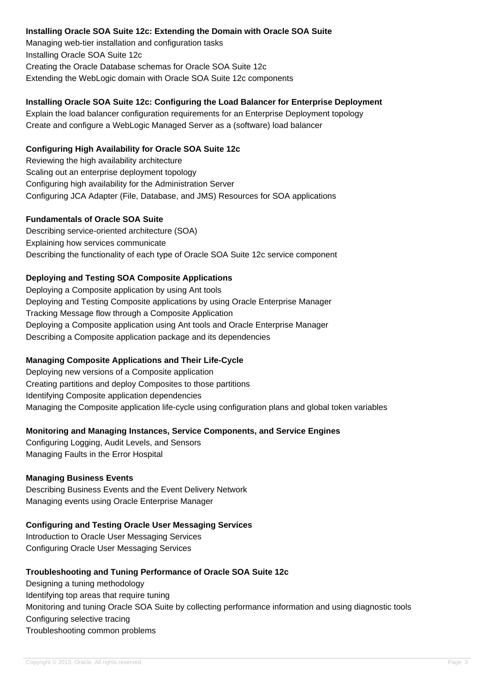#### **Installing Oracle SOA Suite 12c: Extending the Domain with Oracle SOA Suite**

Managing web-tier installation and configuration tasks Installing Oracle SOA Suite 12c Creating the Oracle Database schemas for Oracle SOA Suite 12c Extending the WebLogic domain with Oracle SOA Suite 12c components

## **Installing Oracle SOA Suite 12c: Configuring the Load Balancer for Enterprise Deployment**

Explain the load balancer configuration requirements for an Enterprise Deployment topology Create and configure a WebLogic Managed Server as a (software) load balancer

## **Configuring High Availability for Oracle SOA Suite 12c**

Reviewing the high availability architecture Scaling out an enterprise deployment topology Configuring high availability for the Administration Server Configuring JCA Adapter (File, Database, and JMS) Resources for SOA applications

#### **Fundamentals of Oracle SOA Suite**

Describing service-oriented architecture (SOA) Explaining how services communicate Describing the functionality of each type of Oracle SOA Suite 12c service component

## **Deploying and Testing SOA Composite Applications**

Deploying a Composite application by using Ant tools Deploying and Testing Composite applications by using Oracle Enterprise Manager Tracking Message flow through a Composite Application Deploying a Composite application using Ant tools and Oracle Enterprise Manager Describing a Composite application package and its dependencies

## **Managing Composite Applications and Their Life-Cycle**

Deploying new versions of a Composite application Creating partitions and deploy Composites to those partitions Identifying Composite application dependencies Managing the Composite application life-cycle using configuration plans and global token variables

## **Monitoring and Managing Instances, Service Components, and Service Engines**

Configuring Logging, Audit Levels, and Sensors Managing Faults in the Error Hospital

## **Managing Business Events**

Describing Business Events and the Event Delivery Network Managing events using Oracle Enterprise Manager

## **Configuring and Testing Oracle User Messaging Services**

Introduction to Oracle User Messaging Services Configuring Oracle User Messaging Services

## **Troubleshooting and Tuning Performance of Oracle SOA Suite 12c**

Designing a tuning methodology Identifying top areas that require tuning Monitoring and tuning Oracle SOA Suite by collecting performance information and using diagnostic tools Configuring selective tracing Troubleshooting common problems